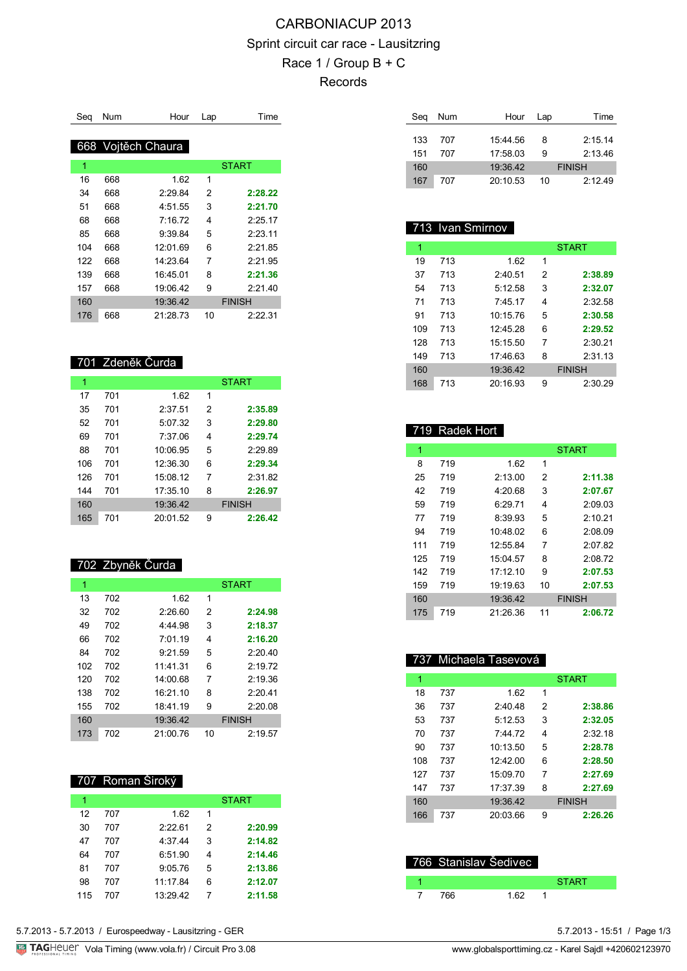# CARBONIACUP 2013 Sprint circuit car race - Lausitzring Race 1 / Group B + C Records

| Sea | Num | Hour               | Lap | Time          |
|-----|-----|--------------------|-----|---------------|
|     |     |                    |     |               |
|     |     | 668 Vojtěch Chaura |     |               |
| 1   |     |                    |     | <b>START</b>  |
| 16  | 668 | 1.62               | 1   |               |
| 34  | 668 | 2:29.84            | 2   | 2:28.22       |
| 51  | 668 | 4:51.55            | 3   | 2:21.70       |
| 68  | 668 | 7.1672             | 4   | 2.2517        |
| 85  | 668 | 9.39.84            | 5   | 2:23.11       |
| 104 | 668 | 12:01.69           | 6   | 2.2185        |
| 122 | 668 | 14:23.64           | 7   | 2.2195        |
| 139 | 668 | 16:45.01           | 8   | 2:21.36       |
| 157 | 668 | 19:06.42           | 9   | 2:21.40       |
| 160 |     | 19:36.42           |     | <b>FINISH</b> |
| 176 | 668 | 21:28.73           | 10  | 2:22.31       |

#### 701 Zdeněk Čurda

| 1   |     |          |   | <b>START</b>  |
|-----|-----|----------|---|---------------|
| 17  | 701 | 1.62     | 1 |               |
| 35  | 701 | 2:37.51  | 2 | 2:35.89       |
| 52  | 701 | 5:07.32  | 3 | 2:29.80       |
| 69  | 701 | 7:37.06  | 4 | 2:29.74       |
| 88  | 701 | 10:06.95 | 5 | 2:29.89       |
| 106 | 701 | 12:36.30 | 6 | 2:29.34       |
| 126 | 701 | 15:08.12 | 7 | 2:31.82       |
| 144 | 701 | 17:35.10 | 8 | 2:26.97       |
| 160 |     | 19:36.42 |   | <b>FINISH</b> |
| 165 | 701 | 20:01.52 | 9 | 2:26.42       |

#### 702 Zbyněk Čurda

| 1   |     |          |    | <b>START</b>  |
|-----|-----|----------|----|---------------|
| 13  | 702 | 1.62     | 1  |               |
| 32  | 702 | 2:26.60  | 2  | 2:24.98       |
| 49  | 702 | 4:44.98  | 3  | 2:18.37       |
| 66  | 702 | 7:01.19  | 4  | 2:16.20       |
| 84  | 702 | 9:21.59  | 5  | 2:20.40       |
| 102 | 702 | 11.41.31 | 6  | 2:19.72       |
| 120 | 702 | 14:00.68 | 7  | 2:19.36       |
| 138 | 702 | 16:21:10 | 8  | 2:20.41       |
| 155 | 702 | 18:41.19 | 9  | 2:20.08       |
| 160 |     | 19:36.42 |    | <b>FINISH</b> |
| 173 | 702 | 21:00.76 | 10 | 2:19.57       |

#### 707 Roman Široký

I

| 1   |     |          |   | <b>START</b> |
|-----|-----|----------|---|--------------|
| 12  | 707 | 1.62     | 1 |              |
| 30  | 707 | 2:22.61  | 2 | 2:20.99      |
| 47  | 707 | 4:37.44  | 3 | 2:14.82      |
| 64  | 707 | 6:51.90  | 4 | 2:14.46      |
| 81  | 707 | 9:05.76  | 5 | 2:13.86      |
| 98  | 707 | 11:17.84 | 6 | 2:12.07      |
| 115 | 707 | 13:29.42 | 7 | 2:11.58      |

| Seg | Num | Hour     | Lap | Time          |
|-----|-----|----------|-----|---------------|
| 133 | 707 | 15:44.56 | 8   | 2:15.14       |
| 151 | 707 | 17:58.03 | 9   | 2:13.46       |
| 160 |     | 19:36.42 |     | <b>FINISH</b> |
|     |     |          |     |               |
| 167 | 707 | 20:10.53 | 10  | 2:12.49       |

# 713 Ivan Smirnov

| 1   |     |          |   | <b>START</b>  |
|-----|-----|----------|---|---------------|
| 19  | 713 | 1.62     | 1 |               |
| 37  | 713 | 2:40.51  | 2 | 2:38.89       |
| 54  | 713 | 5.12.58  | 3 | 2:32.07       |
| 71  | 713 | 7.4517   | 4 | 2:32.58       |
| 91  | 713 | 10:15.76 | 5 | 2:30.58       |
| 109 | 713 | 12.45.28 | 6 | 2:29.52       |
| 128 | 713 | 15:15.50 | 7 | 2:30.21       |
| 149 | 713 | 17.4663  | 8 | 2.3113        |
| 160 |     | 19:36.42 |   | <b>FINISH</b> |
| 168 | 713 | 20:16.93 | 9 | 2:30.29       |

#### 719 Radek Hort 1 START START START 719 1.62 1 719 2:13.00 2 **2:11.38** 719 4:20.68 3 **2:07.67** 719 6:29.71 4 2:09.03 719 8:39.93 5 2:10.21 719 10:48.02 6 2:08.09 719 12:55.84 7 2:07.82 719 15:04.57 8 2:08.72 719 17:12.10 9 **2:07.53** 719 19:19.63 10 **2:07.53** 19:36.42 FINISH 719 21:26.36 11 **2:06.72**

#### 737 Michaela Tasevová

| 1   |     |          |   | <b>START</b>  |
|-----|-----|----------|---|---------------|
| 18  | 737 | 1.62     | 1 |               |
| 36  | 737 | 2:40.48  | 2 | 2:38.86       |
| 53  | 737 | 5:12.53  | 3 | 2:32.05       |
| 70  | 737 | 7.4472   | 4 | 2.3218        |
| 90  | 737 | 10:13.50 | 5 | 2:28.78       |
| 108 | 737 | 12.4200  | 6 | 2:28.50       |
| 127 | 737 | 15:09.70 | 7 | 2:27.69       |
| 147 | 737 | 17:37.39 | 8 | 2:27.69       |
| 160 |     | 19:36.42 |   | <b>FINISH</b> |
| 166 | 737 | 20:03.66 | 9 | 2:26.26       |

|     | 766 Stanislav Šedivec |      |              |  |
|-----|-----------------------|------|--------------|--|
|     |                       |      | <b>START</b> |  |
| 766 |                       | 1.62 |              |  |

5.7.2013 - 5.7.2013 / Eurospeedway - Lausitzring - GER

TAGHeuer Vola Timing (www.vola.fr) / Circuit Pro 3.08 www.globalsporttiming.cz - Karel Sajdl +420602123970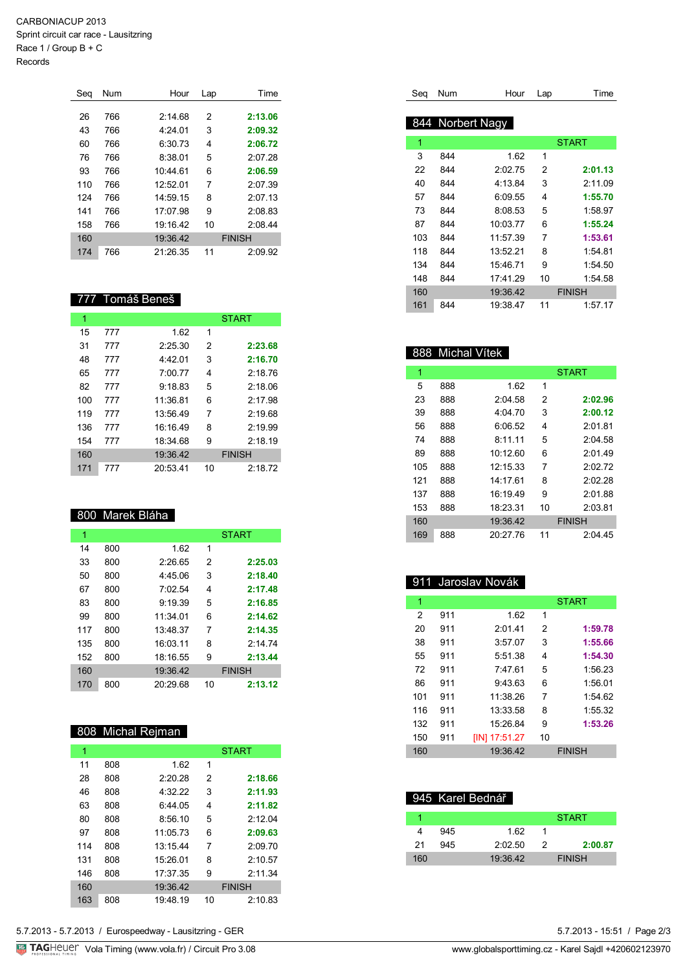CARBONIACUP 2013 Sprint circuit car race - Lausitzring Race 1 / Group B + C

Records

| Seg | Num | Hour     | Lap | Time          |
|-----|-----|----------|-----|---------------|
|     |     |          |     |               |
| 26  | 766 | 2:14.68  | 2   | 2:13.06       |
| 43  | 766 | 4:24.01  | 3   | 2:09.32       |
| 60  | 766 | 6:30.73  | 4   | 2:06.72       |
| 76  | 766 | 8:38.01  | 5   | 2:07.28       |
| 93  | 766 | 10:44.61 | 6   | 2:06.59       |
| 110 | 766 | 12:52.01 | 7   | 2:07.39       |
| 124 | 766 | 14:59.15 | 8   | 2:07.13       |
| 141 | 766 | 17:07.98 | 9   | 2:08.83       |
| 158 | 766 | 19:16.42 | 10  | 2:08.44       |
| 160 |     | 19:36.42 |     | <b>FINISH</b> |
| 174 | 766 | 21:26.35 | 11  | 2:09.92       |

#### 777 Tomáš Beneš

| 1   |     |          |    | <b>START</b>  |
|-----|-----|----------|----|---------------|
| 15  | 777 | 1.62     | 1  |               |
| 31  | 777 | 2:25.30  | 2  | 2:23.68       |
| 48  | 777 | 4:42.01  | 3  | 2:16.70       |
| 65  | 777 | 7:00.77  | 4  | 2:18.76       |
| 82  | 777 | 9:18.83  | 5  | 2:18.06       |
| 100 | 777 | 11:36.81 | 6  | 2:17.98       |
| 119 | 777 | 13:56.49 | 7  | 2:19.68       |
| 136 | 777 | 16:16.49 | 8  | 2:19.99       |
| 154 | 777 | 18:34.68 | 9  | 2:18.19       |
| 160 |     | 19:36.42 |    | <b>FINISH</b> |
| 171 | 777 | 20:53.41 | 10 | 2:18.72       |

### 800 Marek Bláha

| 1   |     |          |    | <b>START</b>  |
|-----|-----|----------|----|---------------|
| 14  | 800 | 1.62     | 1  |               |
| 33  | 800 | 2:26.65  | 2  | 2:25.03       |
| 50  | 800 | 4:45.06  | 3  | 2:18.40       |
| 67  | 800 | 7:02.54  | 4  | 2:17.48       |
| 83  | 800 | 9:19.39  | 5  | 2:16.85       |
| 99  | 800 | 11:34.01 | 6  | 2:14.62       |
| 117 | 800 | 13:48.37 | 7  | 2:14.35       |
| 135 | 800 | 16:03.11 | 8  | 2.1474        |
| 152 | 800 | 18:16.55 | 9  | 2:13.44       |
| 160 |     | 19:36.42 |    | <b>FINISH</b> |
| 170 | 800 | 20:29.68 | 10 | 2:13.12       |

# 808 Michal Rejman

| 1   |     |          |    | <b>START</b>  |
|-----|-----|----------|----|---------------|
| 11  | 808 | 1.62     | 1  |               |
| 28  | 808 | 2:20.28  | 2  | 2:18.66       |
| 46  | 808 | 4:32.22  | 3  | 2:11.93       |
| 63  | 808 | 6:44.05  | 4  | 2:11.82       |
| 80  | 808 | 8:56.10  | 5  | 2:12.04       |
| 97  | 808 | 11:05.73 | 6  | 2:09.63       |
| 114 | 808 | 13:15.44 | 7  | 2:09.70       |
| 131 | 808 | 15:26.01 | 8  | 2:10.57       |
| 146 | 808 | 17:37.35 | 9  | 2:11.34       |
| 160 |     | 19:36.42 |    | <b>FINISH</b> |
| 163 | 808 | 19:48.19 | 10 | 2:10.83       |

| Sea | Num | Hour             | Lap | Time          |
|-----|-----|------------------|-----|---------------|
|     |     |                  |     |               |
|     |     | 844 Norbert Nagy |     |               |
| 1   |     |                  |     | <b>START</b>  |
| 3   | 844 | 1.62             | 1   |               |
| 22  | 844 | 2:02.75          | 2   | 2:01.13       |
| 40  | 844 | 4:13.84          | 3   | 2:11.09       |
| 57  | 844 | 6:09.55          | 4   | 1:55.70       |
| 73  | 844 | 8:08.53          | 5   | 1:58.97       |
| 87  | 844 | 10:03.77         | 6   | 1:55.24       |
| 103 | 844 | 11:57.39         | 7   | 1:53.61       |
| 118 | 844 | 13:52.21         | 8   | 1:54.81       |
| 134 | 844 | 15:46.71         | 9   | 1:54.50       |
| 148 | 844 | 17.41.29         | 10  | 1:54.58       |
| 160 |     | 19:36.42         |     | <b>FINISH</b> |
| 161 | 844 | 19:38.47         | 11  | 1:57.17       |

# 888 Michal Vítek

| 1   |     |          |    | <b>START</b>  |
|-----|-----|----------|----|---------------|
| 5   | 888 | 1.62     | 1  |               |
| 23  | 888 | 2:04.58  | 2  | 2:02.96       |
| 39  | 888 | 4:04.70  | 3  | 2:00.12       |
| 56  | 888 | 6:06.52  | 4  | 2.01.81       |
| 74  | 888 | 8:1111   | 5  | 2:04.58       |
| 89  | 888 | 10:1260  | 6  | 2:01.49       |
| 105 | 888 | 12:15.33 | 7  | 2.0272        |
| 121 | 888 | 14.1761  | 8  | 2:02.28       |
| 137 | 888 | 16.1949  | 9  | 2:01.88       |
| 153 | 888 | 18:23.31 | 10 | 2:03.81       |
| 160 |     | 19:36.42 |    | <b>FINISH</b> |
| 169 | 888 | 20.27.76 | 11 | 2.0445        |

# 911 Jaroslav Novák

| 1   |     |               |    | <b>START</b>  |
|-----|-----|---------------|----|---------------|
|     |     |               |    |               |
| 2   | 911 | 1.62          | 1  |               |
| 20  | 911 | 2:01.41       | 2  | 1:59.78       |
| 38  | 911 | 3:57.07       | 3  | 1:55.66       |
| 55  | 911 | 5:51.38       | 4  | 1:54.30       |
| 72  | 911 | 7.4761        | 5  | 1:56.23       |
| 86  | 911 | 9:43.63       | 6  | 1:56.01       |
| 101 | 911 | 11:38.26      | 7  | 1:54.62       |
| 116 | 911 | 13:33.58      | 8  | 1:55.32       |
| 132 | 911 | 15:26.84      | 9  | 1:53.26       |
| 150 | 911 | [IN] 17:51.27 | 10 |               |
| 160 |     | 19:36.42      |    | <b>FINISH</b> |

|     | 945 Karel Bednář |          |   |               |  |  |
|-----|------------------|----------|---|---------------|--|--|
|     |                  |          |   | <b>START</b>  |  |  |
|     | 945              | 1.62     |   |               |  |  |
| 21  | 945              | 2:02.50  | 2 | 2:00.87       |  |  |
| 160 |                  | 19:36.42 |   | <b>FINISH</b> |  |  |

5.7.2013 - 15:51 / Page 2/3